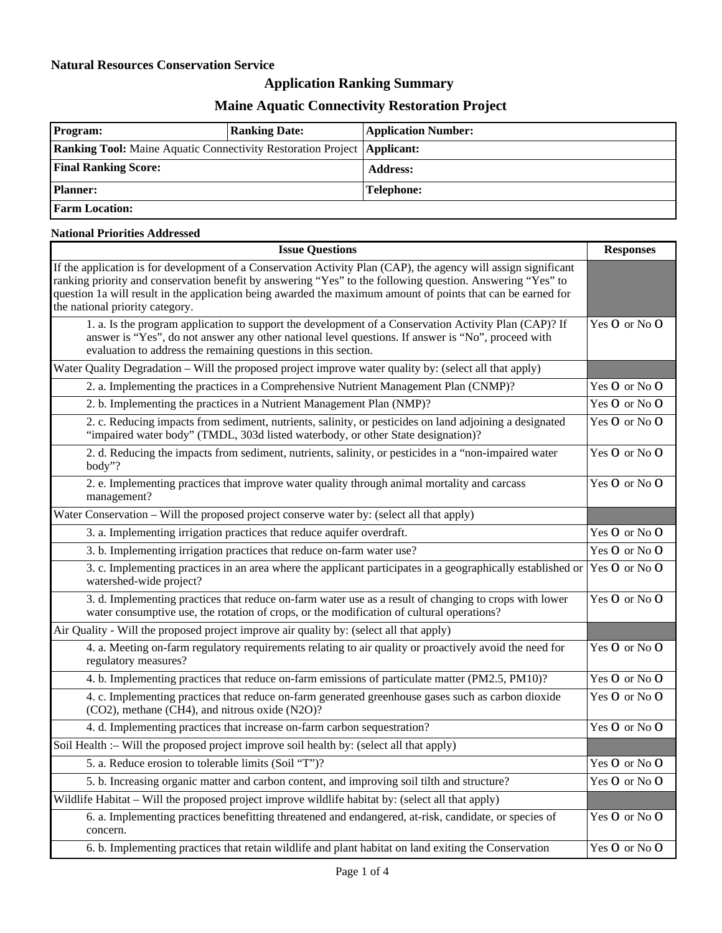### **Natural Resources Conservation Service**

# **Application Ranking Summary**

# **Maine Aquatic Connectivity Restoration Project**

| <b>Program:</b>                                                                  | <b>Ranking Date:</b> | <b>Application Number:</b> |
|----------------------------------------------------------------------------------|----------------------|----------------------------|
| <b>Ranking Tool:</b> Maine Aquatic Connectivity Restoration Project   Applicant: |                      |                            |
| <b>Final Ranking Score:</b>                                                      |                      | <b>Address:</b>            |
| <b>Planner:</b>                                                                  |                      | <b>Telephone:</b>          |
| <b>Farm Location:</b>                                                            |                      |                            |

### **National Priorities Addressed**

| <b>Issue Questions</b>                                                                                                                                                                                                                                                                                                                                                           |               |
|----------------------------------------------------------------------------------------------------------------------------------------------------------------------------------------------------------------------------------------------------------------------------------------------------------------------------------------------------------------------------------|---------------|
| If the application is for development of a Conservation Activity Plan (CAP), the agency will assign significant<br>ranking priority and conservation benefit by answering "Yes" to the following question. Answering "Yes" to<br>question 1a will result in the application being awarded the maximum amount of points that can be earned for<br>the national priority category. |               |
| 1. a. Is the program application to support the development of a Conservation Activity Plan (CAP)? If<br>answer is "Yes", do not answer any other national level questions. If answer is "No", proceed with<br>evaluation to address the remaining questions in this section.                                                                                                    | Yes O or No O |
| Water Quality Degradation – Will the proposed project improve water quality by: (select all that apply)                                                                                                                                                                                                                                                                          |               |
| 2. a. Implementing the practices in a Comprehensive Nutrient Management Plan (CNMP)?                                                                                                                                                                                                                                                                                             | Yes O or No O |
| 2. b. Implementing the practices in a Nutrient Management Plan (NMP)?                                                                                                                                                                                                                                                                                                            | Yes O or No O |
| 2. c. Reducing impacts from sediment, nutrients, salinity, or pesticides on land adjoining a designated<br>"impaired water body" (TMDL, 303d listed waterbody, or other State designation)?                                                                                                                                                                                      | Yes O or No O |
| 2. d. Reducing the impacts from sediment, nutrients, salinity, or pesticides in a "non-impaired water<br>body"?                                                                                                                                                                                                                                                                  | Yes O or No O |
| 2. e. Implementing practices that improve water quality through animal mortality and carcass<br>management?                                                                                                                                                                                                                                                                      | Yes O or No O |
| Water Conservation - Will the proposed project conserve water by: (select all that apply)                                                                                                                                                                                                                                                                                        |               |
| 3. a. Implementing irrigation practices that reduce aquifer overdraft.                                                                                                                                                                                                                                                                                                           | Yes O or No O |
| 3. b. Implementing irrigation practices that reduce on-farm water use?                                                                                                                                                                                                                                                                                                           | Yes O or No O |
| 3. c. Implementing practices in an area where the applicant participates in a geographically established or<br>watershed-wide project?                                                                                                                                                                                                                                           | Yes O or No O |
| 3. d. Implementing practices that reduce on-farm water use as a result of changing to crops with lower<br>water consumptive use, the rotation of crops, or the modification of cultural operations?                                                                                                                                                                              | Yes O or No O |
| Air Quality - Will the proposed project improve air quality by: (select all that apply)                                                                                                                                                                                                                                                                                          |               |
| 4. a. Meeting on-farm regulatory requirements relating to air quality or proactively avoid the need for<br>regulatory measures?                                                                                                                                                                                                                                                  | Yes O or No O |
| 4. b. Implementing practices that reduce on-farm emissions of particulate matter (PM2.5, PM10)?                                                                                                                                                                                                                                                                                  | Yes O or No O |
| 4. c. Implementing practices that reduce on-farm generated greenhouse gases such as carbon dioxide<br>(CO2), methane (CH4), and nitrous oxide (N2O)?                                                                                                                                                                                                                             | Yes O or No O |
| 4. d. Implementing practices that increase on-farm carbon sequestration?                                                                                                                                                                                                                                                                                                         | Yes O or No O |
| Soil Health :- Will the proposed project improve soil health by: (select all that apply)                                                                                                                                                                                                                                                                                         |               |
| 5. a. Reduce erosion to tolerable limits (Soil "T")?                                                                                                                                                                                                                                                                                                                             | Yes O or No O |
| 5. b. Increasing organic matter and carbon content, and improving soil tilth and structure?                                                                                                                                                                                                                                                                                      | Yes O or No O |
| Wildlife Habitat – Will the proposed project improve wildlife habitat by: (select all that apply)                                                                                                                                                                                                                                                                                |               |
| 6. a. Implementing practices benefitting threatened and endangered, at-risk, candidate, or species of<br>concern.                                                                                                                                                                                                                                                                | Yes O or No O |
| 6. b. Implementing practices that retain wildlife and plant habitat on land exiting the Conservation                                                                                                                                                                                                                                                                             | Yes O or No O |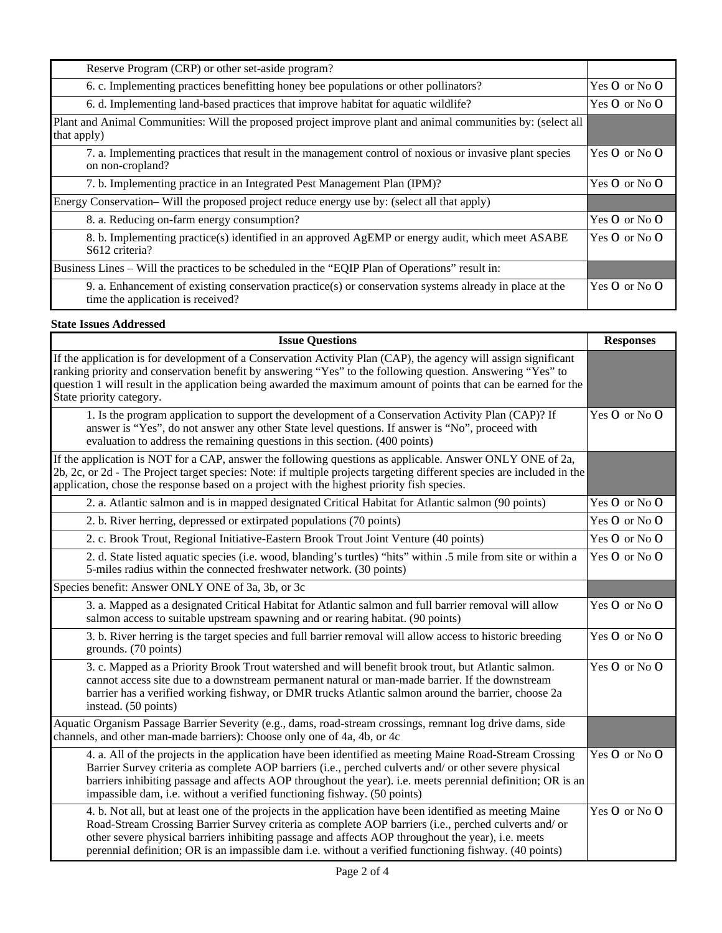| Reserve Program (CRP) or other set-aside program?                                                                                           |                   |
|---------------------------------------------------------------------------------------------------------------------------------------------|-------------------|
| 6. c. Implementing practices benefitting honey bee populations or other pollinators?                                                        | Yes $O$ or No $O$ |
| 6. d. Implementing land-based practices that improve habitat for aquatic wildlife?                                                          | Yes $O$ or No $O$ |
| Plant and Animal Communities: Will the proposed project improve plant and animal communities by: (select all<br>that apply)                 |                   |
| 7. a. Implementing practices that result in the management control of noxious or invasive plant species<br>on non-cropland?                 | Yes O or No O     |
| 7. b. Implementing practice in an Integrated Pest Management Plan (IPM)?                                                                    | Yes $O$ or No $O$ |
| Energy Conservation– Will the proposed project reduce energy use by: (select all that apply)                                                |                   |
| 8. a. Reducing on-farm energy consumption?                                                                                                  | Yes O or No O     |
| 8. b. Implementing practice(s) identified in an approved AgEMP or energy audit, which meet ASABE<br>S612 criteria?                          | Yes $O$ or No $O$ |
| Business Lines – Will the practices to be scheduled in the "EQIP Plan of Operations" result in:                                             |                   |
| 9. a. Enhancement of existing conservation practice(s) or conservation systems already in place at the<br>time the application is received? | Yes $O$ or No $O$ |

### **State Issues Addressed**

| <b>Issue Questions</b>                                                                                                                                                                                                                                                                                                                                                                                                            | <b>Responses</b> |
|-----------------------------------------------------------------------------------------------------------------------------------------------------------------------------------------------------------------------------------------------------------------------------------------------------------------------------------------------------------------------------------------------------------------------------------|------------------|
| If the application is for development of a Conservation Activity Plan (CAP), the agency will assign significant<br>ranking priority and conservation benefit by answering "Yes" to the following question. Answering "Yes" to<br>question 1 will result in the application being awarded the maximum amount of points that can be earned for the<br>State priority category.                                                      |                  |
| 1. Is the program application to support the development of a Conservation Activity Plan (CAP)? If<br>answer is "Yes", do not answer any other State level questions. If answer is "No", proceed with<br>evaluation to address the remaining questions in this section. (400 points)                                                                                                                                              | Yes O or No O    |
| If the application is NOT for a CAP, answer the following questions as applicable. Answer ONLY ONE of 2a,<br>2b, 2c, or 2d - The Project target species: Note: if multiple projects targeting different species are included in the<br>application, chose the response based on a project with the highest priority fish species.                                                                                                 |                  |
| 2. a. Atlantic salmon and is in mapped designated Critical Habitat for Atlantic salmon (90 points)                                                                                                                                                                                                                                                                                                                                | Yes O or No O    |
| 2. b. River herring, depressed or extirpated populations (70 points)                                                                                                                                                                                                                                                                                                                                                              | Yes O or No O    |
| 2. c. Brook Trout, Regional Initiative-Eastern Brook Trout Joint Venture (40 points)                                                                                                                                                                                                                                                                                                                                              | Yes O or No O    |
| 2. d. State listed aquatic species (i.e. wood, blanding's turtles) "hits" within .5 mile from site or within a<br>5-miles radius within the connected freshwater network. (30 points)                                                                                                                                                                                                                                             | Yes O or No O    |
| Species benefit: Answer ONLY ONE of 3a, 3b, or 3c                                                                                                                                                                                                                                                                                                                                                                                 |                  |
| 3. a. Mapped as a designated Critical Habitat for Atlantic salmon and full barrier removal will allow<br>salmon access to suitable upstream spawning and or rearing habitat. (90 points)                                                                                                                                                                                                                                          | Yes O or No O    |
| 3. b. River herring is the target species and full barrier removal will allow access to historic breeding<br>grounds. (70 points)                                                                                                                                                                                                                                                                                                 | Yes O or No O    |
| 3. c. Mapped as a Priority Brook Trout watershed and will benefit brook trout, but Atlantic salmon.<br>cannot access site due to a downstream permanent natural or man-made barrier. If the downstream<br>barrier has a verified working fishway, or DMR trucks Atlantic salmon around the barrier, choose 2a<br>instead. (50 points)                                                                                             | Yes O or No O    |
| Aquatic Organism Passage Barrier Severity (e.g., dams, road-stream crossings, remnant log drive dams, side<br>channels, and other man-made barriers): Choose only one of 4a, 4b, or 4c                                                                                                                                                                                                                                            |                  |
| 4. a. All of the projects in the application have been identified as meeting Maine Road-Stream Crossing<br>Barrier Survey criteria as complete AOP barriers (i.e., perched culverts and/ or other severe physical<br>barriers inhibiting passage and affects AOP throughout the year). i.e. meets perennial definition; OR is an<br>impassible dam, i.e. without a verified functioning fishway. (50 points)                      | Yes O or No O    |
| 4. b. Not all, but at least one of the projects in the application have been identified as meeting Maine<br>Road-Stream Crossing Barrier Survey criteria as complete AOP barriers (i.e., perched culverts and/ or<br>other severe physical barriers inhibiting passage and affects AOP throughout the year), i.e. meets<br>perennial definition; OR is an impassible dam i.e. without a verified functioning fishway. (40 points) | Yes O or No O    |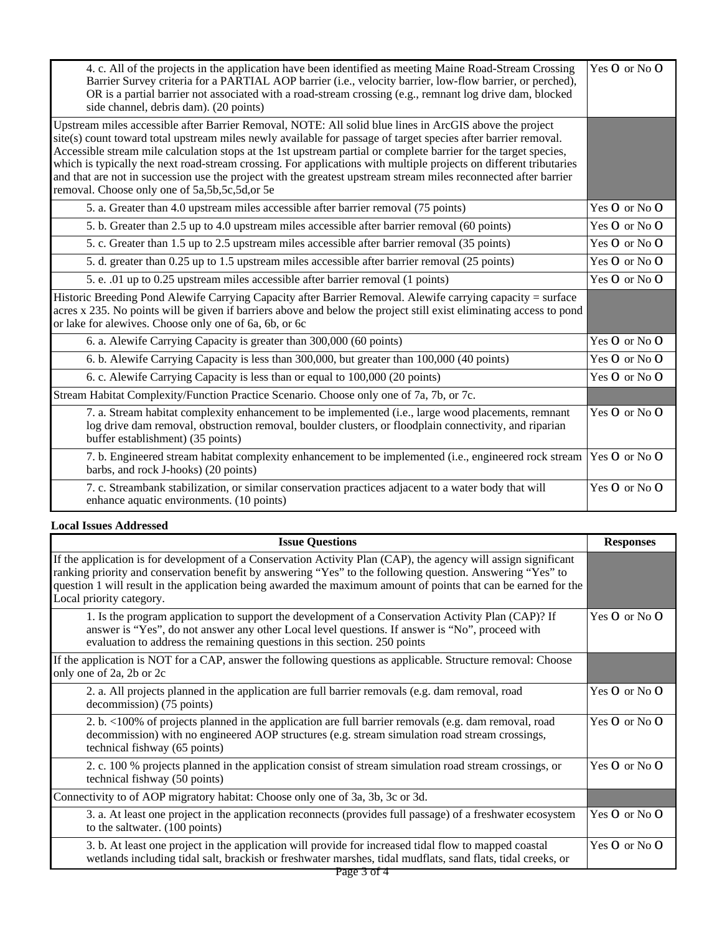| 4. c. All of the projects in the application have been identified as meeting Maine Road-Stream Crossing<br>Barrier Survey criteria for a PARTIAL AOP barrier (i.e., velocity barrier, low-flow barrier, or perched),<br>OR is a partial barrier not associated with a road-stream crossing (e.g., remnant log drive dam, blocked<br>side channel, debris dam). (20 points)                                                                                                                                                                                                                                                                   | Yes O or No O     |
|----------------------------------------------------------------------------------------------------------------------------------------------------------------------------------------------------------------------------------------------------------------------------------------------------------------------------------------------------------------------------------------------------------------------------------------------------------------------------------------------------------------------------------------------------------------------------------------------------------------------------------------------|-------------------|
| Upstream miles accessible after Barrier Removal, NOTE: All solid blue lines in ArcGIS above the project<br>site(s) count toward total upstream miles newly available for passage of target species after barrier removal.<br>Accessible stream mile calculation stops at the 1st upstream partial or complete barrier for the target species,<br>which is typically the next road-stream crossing. For applications with multiple projects on different tributaries<br>and that are not in succession use the project with the greatest upstream stream miles reconnected after barrier<br>removal. Choose only one of 5a, 5b, 5c, 5d, or 5e |                   |
| 5. a. Greater than 4.0 upstream miles accessible after barrier removal (75 points)                                                                                                                                                                                                                                                                                                                                                                                                                                                                                                                                                           | Yes O or No O     |
| 5. b. Greater than 2.5 up to 4.0 upstream miles accessible after barrier removal (60 points)                                                                                                                                                                                                                                                                                                                                                                                                                                                                                                                                                 | Yes O or No O     |
| 5. c. Greater than 1.5 up to 2.5 upstream miles accessible after barrier removal (35 points)                                                                                                                                                                                                                                                                                                                                                                                                                                                                                                                                                 | Yes O or No O     |
| 5. d. greater than 0.25 up to 1.5 upstream miles accessible after barrier removal (25 points)                                                                                                                                                                                                                                                                                                                                                                                                                                                                                                                                                | Yes O or No O     |
| 5. e. .01 up to 0.25 upstream miles accessible after barrier removal (1 points)                                                                                                                                                                                                                                                                                                                                                                                                                                                                                                                                                              | Yes O or No O     |
| Historic Breeding Pond Alewife Carrying Capacity after Barrier Removal. Alewife carrying capacity = surface<br>acres x 235. No points will be given if barriers above and below the project still exist eliminating access to pond<br>or lake for alewives. Choose only one of 6a, 6b, or 6c                                                                                                                                                                                                                                                                                                                                                 |                   |
| 6. a. Alewife Carrying Capacity is greater than 300,000 (60 points)                                                                                                                                                                                                                                                                                                                                                                                                                                                                                                                                                                          | Yes O or No O     |
| 6. b. Alewife Carrying Capacity is less than 300,000, but greater than 100,000 (40 points)                                                                                                                                                                                                                                                                                                                                                                                                                                                                                                                                                   | Yes O or No O     |
| 6. c. Alewife Carrying Capacity is less than or equal to 100,000 (20 points)                                                                                                                                                                                                                                                                                                                                                                                                                                                                                                                                                                 | Yes $O$ or No $O$ |
| Stream Habitat Complexity/Function Practice Scenario. Choose only one of 7a, 7b, or 7c.                                                                                                                                                                                                                                                                                                                                                                                                                                                                                                                                                      |                   |
| 7. a. Stream habitat complexity enhancement to be implemented (i.e., large wood placements, remnant<br>log drive dam removal, obstruction removal, boulder clusters, or floodplain connectivity, and riparian<br>buffer establishment) (35 points)                                                                                                                                                                                                                                                                                                                                                                                           | Yes O or No O     |
| 7. b. Engineered stream habitat complexity enhancement to be implemented (i.e., engineered rock stream<br>barbs, and rock J-hooks) (20 points)                                                                                                                                                                                                                                                                                                                                                                                                                                                                                               | Yes O or No O     |
| 7. c. Streambank stabilization, or similar conservation practices adjacent to a water body that will<br>enhance aquatic environments. (10 points)                                                                                                                                                                                                                                                                                                                                                                                                                                                                                            | Yes O or No O     |

#### **Local Issues Addressed**

| <b>Issue Questions</b>                                                                                                                                                                                                                                                                                                                                                       | <b>Responses</b>  |
|------------------------------------------------------------------------------------------------------------------------------------------------------------------------------------------------------------------------------------------------------------------------------------------------------------------------------------------------------------------------------|-------------------|
| If the application is for development of a Conservation Activity Plan (CAP), the agency will assign significant<br>ranking priority and conservation benefit by answering "Yes" to the following question. Answering "Yes" to<br>question 1 will result in the application being awarded the maximum amount of points that can be earned for the<br>Local priority category. |                   |
| 1. Is the program application to support the development of a Conservation Activity Plan (CAP)? If<br>answer is "Yes", do not answer any other Local level questions. If answer is "No", proceed with<br>evaluation to address the remaining questions in this section. 250 points                                                                                           | Yes O or No O     |
| If the application is NOT for a CAP, answer the following questions as applicable. Structure removal: Choose<br>only one of 2a, 2b or 2c                                                                                                                                                                                                                                     |                   |
| 2. a. All projects planned in the application are full barrier removals (e.g. dam removal, road<br>decommission) (75 points)                                                                                                                                                                                                                                                 | Yes O or No O     |
| 2. b. <100% of projects planned in the application are full barrier removals (e.g. dam removal, road<br>decommission) with no engineered AOP structures (e.g. stream simulation road stream crossings,<br>technical fishway (65 points)                                                                                                                                      | Yes O or No O     |
| 2. c. 100 % projects planned in the application consist of stream simulation road stream crossings, or<br>technical fishway (50 points)                                                                                                                                                                                                                                      | Yes $O$ or No $O$ |
| Connectivity to of AOP migratory habitat: Choose only one of 3a, 3b, 3c or 3d.                                                                                                                                                                                                                                                                                               |                   |
| 3. a. At least one project in the application reconnects (provides full passage) of a freshwater ecosystem<br>to the saltwater. (100 points)                                                                                                                                                                                                                                 | Yes O or No O     |
| 3. b. At least one project in the application will provide for increased tidal flow to mapped coastal<br>wetlands including tidal salt, brackish or freshwater marshes, tidal mudflats, sand flats, tidal creeks, or                                                                                                                                                         | Yes O or No O     |